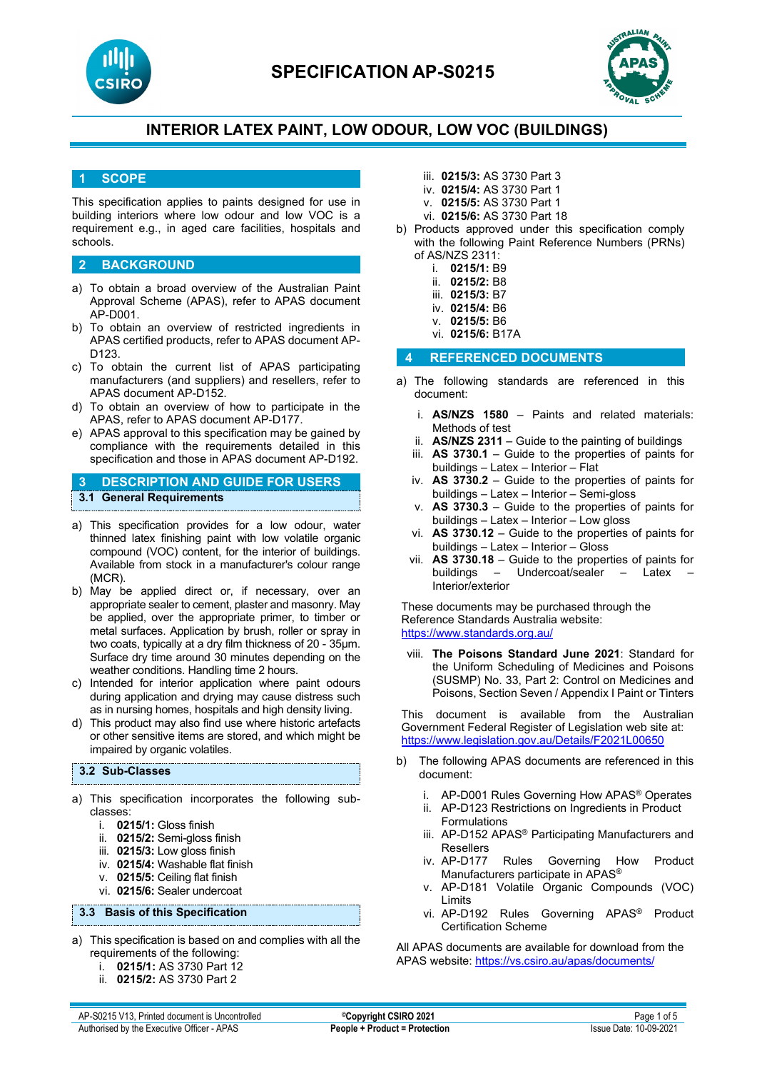



## **1 SCOPE**

This specification applies to paints designed for use in building interiors where low odour and low VOC is a requirement e.g., in aged care facilities, hospitals and schools.

### **2 BACKGROUND**

- a) To obtain a broad overview of the Australian Paint Approval Scheme (APAS), refer to APAS document AP-D001.
- b) To obtain an overview of restricted ingredients in APAS certified products, refer to APAS document AP-D123.
- c) To obtain the current list of APAS participating manufacturers (and suppliers) and resellers, refer to APAS document AP-D152.
- d) To obtain an overview of how to participate in the APAS, refer to APAS document AP-D177.
- e) APAS approval to this specification may be gained by compliance with the requirements detailed in this specification and those in APAS document AP-D192.

## **3 DESCRIPTION AND GUIDE FOR USERS 3.1 General Requirements**

- a) This specification provides for a low odour, water thinned latex finishing paint with low volatile organic compound (VOC) content, for the interior of buildings. Available from stock in a manufacturer's colour range (MCR).
- b) May be applied direct or, if necessary, over an appropriate sealer to cement, plaster and masonry. May be applied, over the appropriate primer, to timber or metal surfaces. Application by brush, roller or spray in two coats, typically at a dry film thickness of 20 - 35µm. Surface dry time around 30 minutes depending on the weather conditions. Handling time 2 hours.
- c) Intended for interior application where paint odours during application and drying may cause distress such as in nursing homes, hospitals and high density living.
- d) This product may also find use where historic artefacts or other sensitive items are stored, and which might be impaired by organic volatiles.

#### **3.2 Sub-Classes**

- a) This specification incorporates the following subclasses:
	- i. **0215/1:** Gloss finish
	- ii. **0215/2:** Semi-gloss finish
	- iii. **0215/3:** Low gloss finish
	- iv. **0215/4:** Washable flat finish
	- v. **0215/5:** Ceiling flat finish
	- vi. **0215/6:** Sealer undercoat

#### **3.3 Basis of this Specification**

- a) This specification is based on and complies with all the requirements of the following:
	- i. **0215/1:** AS 3730 Part 12
	- ii. **0215/2:** AS 3730 Part 2
- iii. **0215/3:** AS 3730 Part 3
- iv. **0215/4:** AS 3730 Part 1
- v. **0215/5:** AS 3730 Part 1
- vi. **0215/6:** AS 3730 Part 18
- b) Products approved under this specification comply with the following Paint Reference Numbers (PRNs) of AS/NZS 2311:
	- i. **0215/1:** B9
	- ii. **0215/2:** B8
	- iii. **0215/3:** B7
	- iv. **0215/4:** B6
	- v. **0215/5:** B6
	- vi. **0215/6:** B17A

### **4 REFERENCED DOCUMENTS**

- a) The following standards are referenced in this document:
	- i. **AS/NZS 1580** Paints and related materials: Methods of test
	- ii. **AS/NZS 2311**  Guide to the painting of buildings
	- iii. **AS 3730.1** Guide to the properties of paints for buildings – Latex – Interior – Flat
	- iv. **AS 3730.2** Guide to the properties of paints for buildings – Latex – Interior – Semi-gloss
	- v. **AS 3730.3** Guide to the properties of paints for buildings – Latex – Interior – Low gloss
	- vi. **AS 3730.12** Guide to the properties of paints for buildings – Latex – Interior – Gloss
	- vii. **AS 3730.18** Guide to the properties of paints for buildings – Undercoat/sealer – Latex Interior/exterior

These documents may be purchased through the Reference Standards Australia website: <https://www.standards.org.au/>

viii. **The Poisons Standard June 2021**: Standard for the Uniform Scheduling of Medicines and Poisons (SUSMP) No. 33, Part 2: Control on Medicines and Poisons, Section Seven / Appendix I Paint or Tinters

This document is available from the Australian Government Federal Register of Legislation web site at: <https://www.legislation.gov.au/Details/F2021L00650>

- b) The following APAS documents are referenced in this document:
	- i. AP-D001 Rules Governing How APAS® Operates
	- ii. AP-D123 Restrictions on Ingredients in Product Formulations
	- iii. AP-D152 APAS® Participating Manufacturers and Resellers<br>iv. AP-D177
	- Rules Governing How Product Manufacturers participate in APAS®
	- v. AP-D181 Volatile Organic Compounds (VOC) Limits
	- vi. AP-D192 Rules Governing APAS® Product Certification Scheme

All APAS documents are available for download from the APAS website: <https://vs.csiro.au/apas/documents/>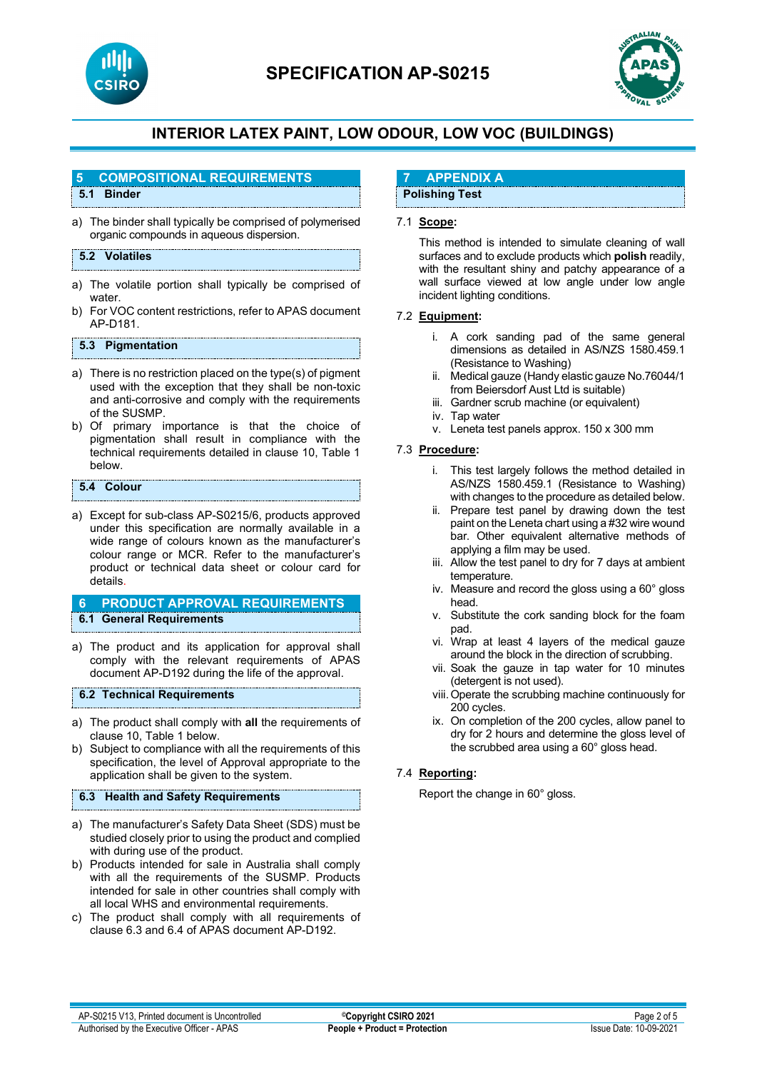

# **SPECIFICATION AP-S0215**



# **INTERIOR LATEX PAINT, LOW ODOUR, LOW VOC (BUILDINGS)**

#### **5 COMPOSITIONAL REQUIREMENTS**

## **5.1 Binder**

a) The binder shall typically be comprised of polymerised organic compounds in aqueous dispersion.

## **5.2 Volatiles**

- a) The volatile portion shall typically be comprised of water
- b) For VOC content restrictions, refer to APAS document AP-D181.

## **5.3 Pigmentation**

- a) There is no restriction placed on the type(s) of pigment used with the exception that they shall be non-toxic and anti-corrosive and comply with the requirements of the SUSMP.
- b) Of primary importance is that the choice of pigmentation shall result in compliance with the technical requirements detailed in clause 10, Table 1 below.

### **5.4 Colour**

a) Except for sub-class AP-S0215/6, products approved under this specification are normally available in a wide range of colours known as the manufacturer's colour range or MCR. Refer to the manufacturer's product or technical data sheet or colour card for details.

## **6 PRODUCT APPROVAL REQUIREMENTS 6.1 General Requirements**

a) The product and its application for approval shall comply with the relevant requirements of APAS document AP-D192 during the life of the approval.

#### **6.2 Technical Requirements**

- a) The product shall comply with **all** the requirements of clause 10, Table 1 below.
- b) Subject to compliance with all the requirements of this specification, the level of Approval appropriate to the application shall be given to the system.

#### **6.3 Health and Safety Requirements**

- a) The manufacturer's Safety Data Sheet (SDS) must be studied closely prior to using the product and complied with during use of the product.
- b) Products intended for sale in Australia shall comply with all the requirements of the SUSMP. Products intended for sale in other countries shall comply with all local WHS and environmental requirements.
- c) The product shall comply with all requirements of clause 6.3 and 6.4 of APAS document AP-D192.

## **7 APPENDIX A**

## **Polishing Test**

#### 7.1 **Scope:**

This method is intended to simulate cleaning of wall surfaces and to exclude products which **polish** readily, with the resultant shiny and patchy appearance of a wall surface viewed at low angle under low angle incident lighting conditions.

#### 7.2 **Equipment:**

- i. A cork sanding pad of the same general dimensions as detailed in AS/NZS 1580.459.1 (Resistance to Washing)
- ii. Medical gauze (Handy elastic gauze No.76044/1 from Beiersdorf Aust Ltd is suitable)
- iii. Gardner scrub machine (or equivalent)
- iv. Tap water
- v. Leneta test panels approx. 150 x 300 mm

#### 7.3 **Procedure:**

- i. This test largely follows the method detailed in AS/NZS 1580.459.1 (Resistance to Washing) with changes to the procedure as detailed below.
- ii. Prepare test panel by drawing down the test paint on the Leneta chart using a #32 wire wound bar. Other equivalent alternative methods of applying a film may be used.
- iii. Allow the test panel to dry for 7 days at ambient temperature.
- iv. Measure and record the gloss using a 60° gloss head.
- v. Substitute the cork sanding block for the foam pad.
- vi. Wrap at least 4 layers of the medical gauze around the block in the direction of scrubbing.
- vii. Soak the gauze in tap water for 10 minutes (detergent is not used).
- viii.Operate the scrubbing machine continuously for 200 cycles.
- ix. On completion of the 200 cycles, allow panel to dry for 2 hours and determine the gloss level of the scrubbed area using a 60° gloss head.

## 7.4 **Reporting:**

Report the change in 60° gloss.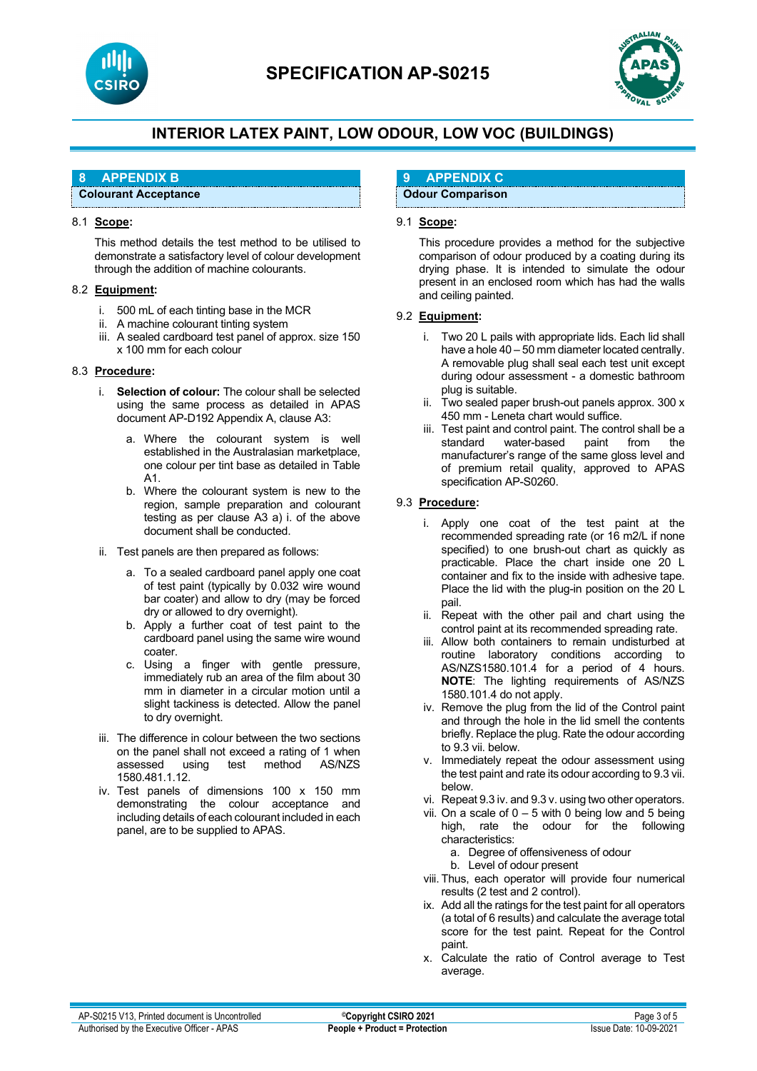



## **8 APPENDIX B**

**Colourant Acceptance** 

#### 8.1 **Scope:**

This method details the test method to be utilised to demonstrate a satisfactory level of colour development through the addition of machine colourants.

#### 8.2 **Equipment:**

- i. 500 mL of each tinting base in the MCR
- ii. A machine colourant tinting system
- iii. A sealed cardboard test panel of approx. size 150 x 100 mm for each colour

## 8.3 **Procedure:**

- i. **Selection of colour:** The colour shall be selected using the same process as detailed in APAS document AP-D192 Appendix A, clause A3:
	- a. Where the colourant system is well established in the Australasian marketplace, one colour per tint base as detailed in Table A1.
	- b. Where the colourant system is new to the region, sample preparation and colourant testing as per clause A3 a) i. of the above document shall be conducted.
- ii. Test panels are then prepared as follows:
	- a. To a sealed cardboard panel apply one coat of test paint (typically by 0.032 wire wound bar coater) and allow to dry (may be forced dry or allowed to dry overnight).
	- b. Apply a further coat of test paint to the cardboard panel using the same wire wound coater.
	- c. Using a finger with gentle pressure, immediately rub an area of the film about 30 mm in diameter in a circular motion until a slight tackiness is detected. Allow the panel to dry overnight.
- iii. The difference in colour between the two sections on the panel shall not exceed a rating of 1 when<br>assessed using test method AS/NZS method 1580.481.1.12.
- iv. Test panels of dimensions 100 x 150 mm demonstrating the colour acceptance and including details of each colourant included in each panel, are to be supplied to APAS.

## **9 APPENDIX C**

**Odour Comparison** 

## 9.1 **Scope:**

This procedure provides a method for the subjective comparison of odour produced by a coating during its drying phase. It is intended to simulate the odour present in an enclosed room which has had the walls and ceiling painted.

## 9.2 **Equipment:**

- i. Two 20 L pails with appropriate lids. Each lid shall have a hole 40 – 50 mm diameter located centrally. A removable plug shall seal each test unit except during odour assessment - a domestic bathroom plug is suitable.
- ii. Two sealed paper brush-out panels approx. 300 x 450 mm - Leneta chart would suffice.
- iii. Test paint and control paint. The control shall be a<br>standard water-based paint from the water-based paint from the manufacturer's range of the same gloss level and of premium retail quality, approved to APAS specification AP-S0260.

#### 9.3 **Procedure:**

- i. Apply one coat of the test paint at the recommended spreading rate (or 16 m2/L if none specified) to one brush-out chart as quickly as practicable. Place the chart inside one 20 L container and fix to the inside with adhesive tape. Place the lid with the plug-in position on the 20 L pail.
- ii. Repeat with the other pail and chart using the control paint at its recommended spreading rate.
- iii. Allow both containers to remain undisturbed at routine laboratory conditions according to AS/NZS1580.101.4 for a period of 4 hours. **NOTE**: The lighting requirements of AS/NZS 1580.101.4 do not apply.
- iv. Remove the plug from the lid of the Control paint and through the hole in the lid smell the contents briefly. Replace the plug. Rate the odour according to 9.3 vii. below.
- v. Immediately repeat the odour assessment using the test paint and rate its odour according to 9.3 vii. below.
- vi. Repeat 9.3 iv. and 9.3 v. using two other operators.
- vii. On a scale of  $0 5$  with 0 being low and 5 being high, rate the odour for the following characteristics:
	- a. Degree of offensiveness of odour
	- b. Level of odour present
- viii. Thus, each operator will provide four numerical results (2 test and 2 control).
- ix. Add all the ratings for the test paint for all operators (a total of 6 results) and calculate the average total score for the test paint. Repeat for the Control paint.
- x. Calculate the ratio of Control average to Test average.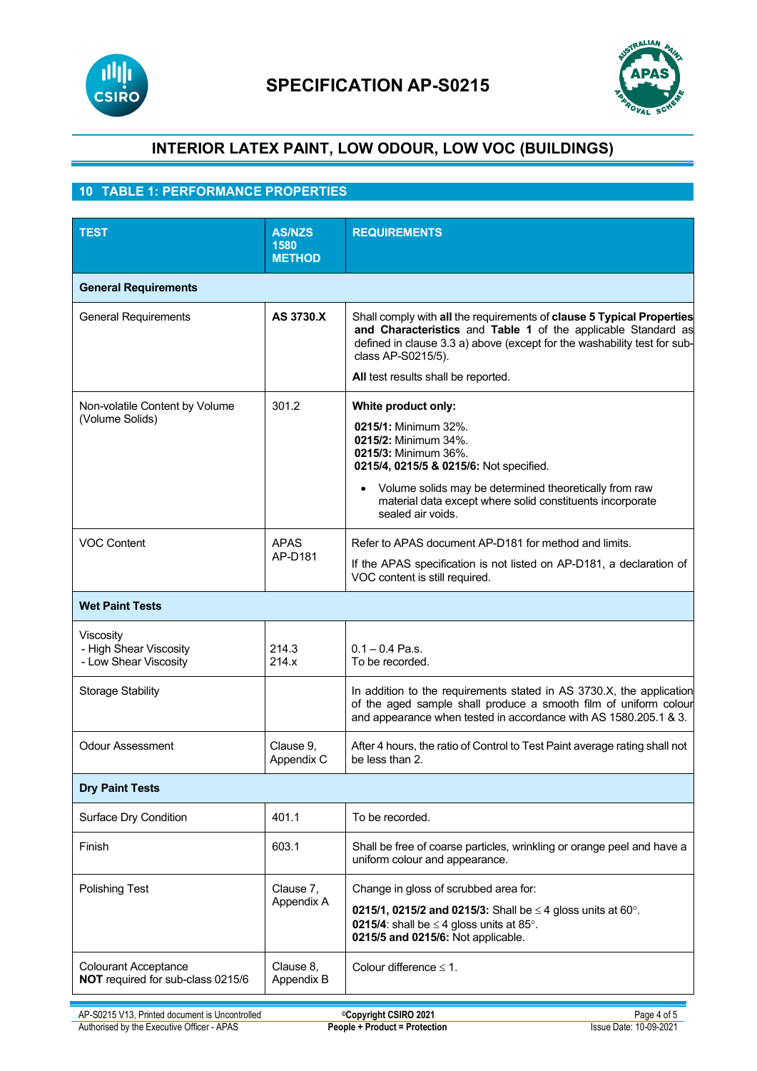



## **10 TABLE 1: PERFORMANCE PROPERTIES**

| <b>TEST</b>                                                      | <b>AS/NZS</b><br>1580   | <b>REQUIREMENTS</b>                                                                                                                                                                                                                                                                |  |
|------------------------------------------------------------------|-------------------------|------------------------------------------------------------------------------------------------------------------------------------------------------------------------------------------------------------------------------------------------------------------------------------|--|
|                                                                  | <b>METHOD</b>           |                                                                                                                                                                                                                                                                                    |  |
| <b>General Requirements</b>                                      |                         |                                                                                                                                                                                                                                                                                    |  |
| <b>General Requirements</b>                                      | AS 3730.X               | Shall comply with all the requirements of clause 5 Typical Properties<br>and Characteristics and Table 1 of the applicable Standard as<br>defined in clause 3.3 a) above (except for the washability test for sub-<br>class AP-S0215/5).<br>All test results shall be reported.    |  |
| Non-volatile Content by Volume<br>(Volume Solids)                | 301.2                   | White product only:<br>0215/1: Minimum 32%.<br>0215/2: Minimum 34%.<br>0215/3: Minimum 36%.<br>0215/4, 0215/5 & 0215/6: Not specified.<br>Volume solids may be determined theoretically from raw<br>material data except where solid constituents incorporate<br>sealed air voids. |  |
| <b>VOC Content</b>                                               | <b>APAS</b><br>AP-D181  | Refer to APAS document AP-D181 for method and limits.<br>If the APAS specification is not listed on AP-D181, a declaration of<br>VOC content is still required.                                                                                                                    |  |
| <b>Wet Paint Tests</b>                                           |                         |                                                                                                                                                                                                                                                                                    |  |
| Viscosity<br>- High Shear Viscosity<br>- Low Shear Viscosity     | 214.3<br>214.x          | $0.1 - 0.4$ Pa.s.<br>To be recorded.                                                                                                                                                                                                                                               |  |
| <b>Storage Stability</b>                                         |                         | In addition to the requirements stated in AS 3730.X, the application<br>of the aged sample shall produce a smooth film of uniform colour<br>and appearance when tested in accordance with AS 1580.205.1 & 3.                                                                       |  |
| <b>Odour Assessment</b>                                          | Clause 9,<br>Appendix C | After 4 hours, the ratio of Control to Test Paint average rating shall not<br>be less than 2.                                                                                                                                                                                      |  |
| <b>Dry Paint Tests</b>                                           |                         |                                                                                                                                                                                                                                                                                    |  |
| Surface Dry Condition                                            | 401.1                   | To be recorded.                                                                                                                                                                                                                                                                    |  |
| Finish                                                           | 603.1                   | Shall be free of coarse particles, wrinkling or orange peel and have a<br>uniform colour and appearance.                                                                                                                                                                           |  |
| <b>Polishing Test</b>                                            | Clause 7,<br>Appendix A | Change in gloss of scrubbed area for:<br><b>0215/1, 0215/2 and 0215/3:</b> Shall be $\leq$ 4 gloss units at 60°.<br><b>0215/4:</b> shall be $\leq$ 4 gloss units at 85°.<br>0215/5 and 0215/6: Not applicable.                                                                     |  |
| <b>Colourant Acceptance</b><br>NOT required for sub-class 0215/6 | Clause 8,<br>Appendix B | Colour difference $\leq 1$ .                                                                                                                                                                                                                                                       |  |